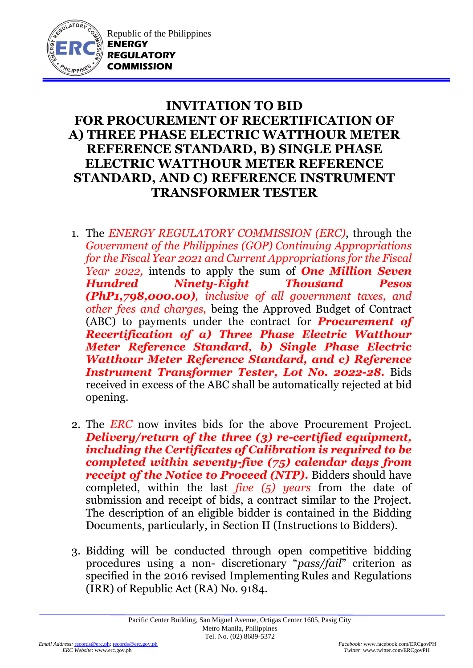

Republic of the Philippines **ENERGY REGULATORY COMMISSION**

## **INVITATION TO BID FOR PROCUREMENT OF RECERTIFICATION OF A) THREE PHASE ELECTRIC WATTHOUR METER REFERENCE STANDARD, B) SINGLE PHASE ELECTRIC WATTHOUR METER REFERENCE STANDARD, AND C) REFERENCE INSTRUMENT TRANSFORMER TESTER**

- 1. The *ENERGY REGULATORY COMMISSION (ERC)*, through the *Government of the Philippines (GOP) Continuing Appropriations for the Fiscal Year 2021 and Current Appropriations for the Fiscal Year 2022,* intends to apply the sum of *One Million Seven Hundred Ninety-Eight Thousand Pesos (PhP1,798,000.00), inclusive of all government taxes, and other fees and charges,* being the Approved Budget of Contract (ABC) to payments under the contract for *Procurement of Recertification of a) Three Phase Electric Watthour Meter Reference Standard, b) Single Phase Electric Watthour Meter Reference Standard, and c) Reference Instrument Transformer Tester, Lot No. 2022-28.* Bids received in excess of the ABC shall be automatically rejected at bid opening.
- 2. The *ERC* now invites bids for the above Procurement Project. *Delivery/return of the three (3) re-certified equipment, including the Certificates of Calibration is required to be completed within seventy-five (75) calendar days from receipt of the Notice to Proceed (NTP).* Bidders should have completed, within the last *five (5) years* from the date of submission and receipt of bids, a contract similar to the Project. The description of an eligible bidder is contained in the Bidding Documents, particularly, in Section II (Instructions to Bidders).
- 3. Bidding will be conducted through open competitive bidding procedures using a non- discretionary "*pass/fail*" criterion as specified in the 2016 revised Implementing Rules and Regulations (IRR) of Republic Act (RA) No. 9184.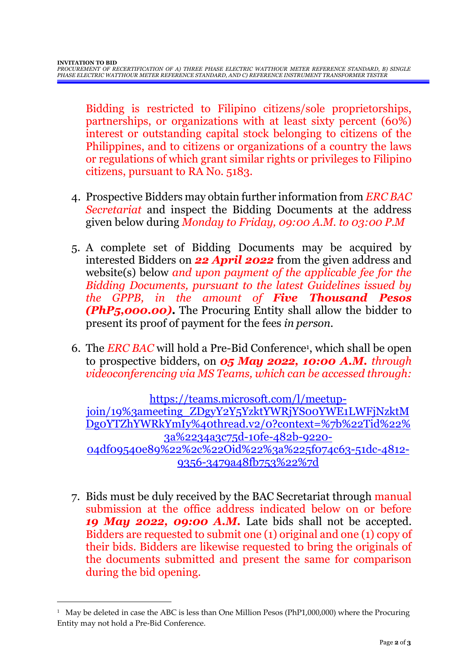Bidding is restricted to Filipino citizens/sole proprietorships, partnerships, or organizations with at least sixty percent (60%) interest or outstanding capital stock belonging to citizens of the Philippines, and to citizens or organizations of a country the laws or regulations of which grant similar rights or privileges to Filipino citizens, pursuant to RA No. 5183.

- 4. Prospective Bidders may obtain further information from *ERC BAC Secretariat* and inspect the Bidding Documents at the address given below during *Monday to Friday, 09:00 A.M. to 03:00 P.M*
- 5. A complete set of Bidding Documents may be acquired by interested Bidders on *22 April 2022* from the given address and website(s) below *and upon payment of the applicable fee for the Bidding Documents, pursuant to the latest Guidelines issued by the GPPB, in the amount of Five Thousand Pesos (PhP5,000.00)***.** The Procuring Entity shall allow the bidder to present its proof of payment for the fees *in person.*
- 6. The *ERC BAC* will hold a Pre-Bid Conference<sup>1</sup> , which shall be open to prospective bidders, on *05 May 2022, 10:00 A.M. through videoconferencing via MS Teams, which can be accessed through:*

[https://teams.microsoft.com/l/meetup](https://teams.microsoft.com/l/meetup-join/19%3ameeting_ZDgyY2Y5YzktYWRjYS00YWE1LWFjNzktMDg0YTZhYWRkYmIy%40thread.v2/0?context=%7b%22Tid%22%3a%2234a3c75d-10fe-482b-9220-04df09540e89%22%2c%22Oid%22%3a%225f074c63-51dc-4812-9356-3479a48fb753%22%7d)[join/19%3ameeting\\_ZDgyY2Y5YzktYWRjYS00YWE1LWFjNzktM](https://teams.microsoft.com/l/meetup-join/19%3ameeting_ZDgyY2Y5YzktYWRjYS00YWE1LWFjNzktMDg0YTZhYWRkYmIy%40thread.v2/0?context=%7b%22Tid%22%3a%2234a3c75d-10fe-482b-9220-04df09540e89%22%2c%22Oid%22%3a%225f074c63-51dc-4812-9356-3479a48fb753%22%7d) [Dg0YTZhYWRkYmIy%40thread.v2/0?context=%7b%22Tid%22%](https://teams.microsoft.com/l/meetup-join/19%3ameeting_ZDgyY2Y5YzktYWRjYS00YWE1LWFjNzktMDg0YTZhYWRkYmIy%40thread.v2/0?context=%7b%22Tid%22%3a%2234a3c75d-10fe-482b-9220-04df09540e89%22%2c%22Oid%22%3a%225f074c63-51dc-4812-9356-3479a48fb753%22%7d) [3a%2234a3c75d-10fe-482b-9220-](https://teams.microsoft.com/l/meetup-join/19%3ameeting_ZDgyY2Y5YzktYWRjYS00YWE1LWFjNzktMDg0YTZhYWRkYmIy%40thread.v2/0?context=%7b%22Tid%22%3a%2234a3c75d-10fe-482b-9220-04df09540e89%22%2c%22Oid%22%3a%225f074c63-51dc-4812-9356-3479a48fb753%22%7d) [04df09540e89%22%2c%22Oid%22%3a%225f074c63-51dc-4812-](https://teams.microsoft.com/l/meetup-join/19%3ameeting_ZDgyY2Y5YzktYWRjYS00YWE1LWFjNzktMDg0YTZhYWRkYmIy%40thread.v2/0?context=%7b%22Tid%22%3a%2234a3c75d-10fe-482b-9220-04df09540e89%22%2c%22Oid%22%3a%225f074c63-51dc-4812-9356-3479a48fb753%22%7d) [9356-3479a48fb753%22%7d](https://teams.microsoft.com/l/meetup-join/19%3ameeting_ZDgyY2Y5YzktYWRjYS00YWE1LWFjNzktMDg0YTZhYWRkYmIy%40thread.v2/0?context=%7b%22Tid%22%3a%2234a3c75d-10fe-482b-9220-04df09540e89%22%2c%22Oid%22%3a%225f074c63-51dc-4812-9356-3479a48fb753%22%7d)

7. Bids must be duly received by the BAC Secretariat through manual submission at the office address indicated below on or before *19 May 2022, 09:00 A.M.* Late bids shall not be accepted. Bidders are requested to submit one (1) original and one (1) copy of their bids. Bidders are likewise requested to bring the originals of the documents submitted and present the same for comparison during the bid opening.

<u>.</u>

<sup>1</sup> May be deleted in case the ABC is less than One Million Pesos (PhP1,000,000) where the Procuring Entity may not hold a Pre-Bid Conference.